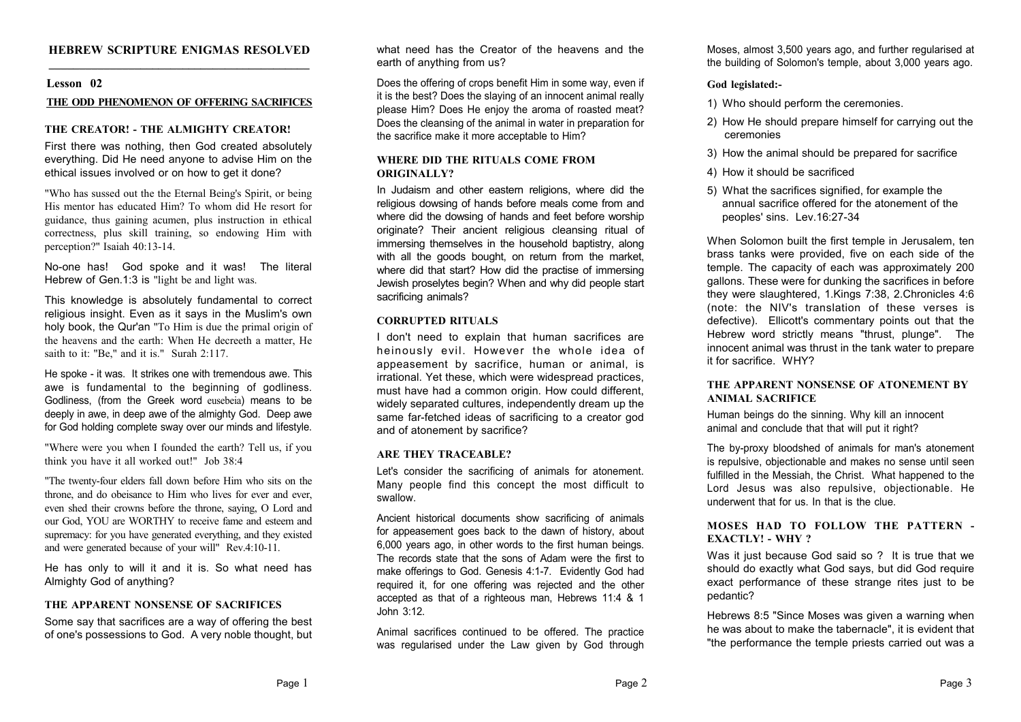## **HEBREW SCRIPTURE ENIGMAS RESOLVED \_\_\_\_\_\_\_\_\_\_\_\_\_\_\_\_\_\_\_\_\_\_\_\_\_\_\_\_\_\_\_\_\_\_\_\_\_\_\_\_\_\_\_**

#### **Lesson 02**

#### **THE ODD PHENOMENON OF OFFERING SACRIFICES**

#### **THE CREATOR! - THE ALMIGHTY CREATOR!**

First there was nothing, then God created absolutely everything. Did He need anyone to advise Him on the ethical issues involved or on how to get it done?

"Who has sussed out the the Eternal Being's Spirit, or being His mentor has educated Him? To whom did He resort for guidance, thus gaining acumen, plus instruction in ethical correctness, plus skill training, so endowing Him with perception?" Isaiah 40:13-14.

No-one has! God spoke and it was! The literal Hebrew of Gen.1:3 is "light be and light was.

This knowledge is absolutely fundamental to correct religious insight. Even as it says in the Muslim's own holy book, the Qur'an "To Him is due the primal origin of the heavens and the earth: When He decreeth a matter, He saith to it: "Be," and it is." Surah 2:117.

He spoke - it was. It strikes one with tremendous awe. This awe is fundamental to the beginning of godliness. Godliness, (from the Greek word eusebeia) means to be deeply in awe, in deep awe of the almighty God. Deep awe for God holding complete sway over our minds and lifestyle.

"Where were you when I founded the earth? Tell us, if you think you have it all worked out!" Job 38:4

"The twenty-four elders fall down before Him who sits on the throne, and do obeisance to Him who lives for ever and ever, even shed their crowns before the throne, saying, O Lord and our God, YOU are WORTHY to receive fame and esteem and supremacy: for you have generated everything, and they existed and were generated because of your will" Rev.4:10-11.

He has only to will it and it is. So what need has Almighty God of anything?

## **THE APPARENT NONSENSE OF SACRIFICES**

Some say that sacrifices are a way of offering the best of one's possessions to God. A very noble thought, but

what need has the Creator of the heavens and the earth of anything from us?

Does the offering of crops benefit Him in some way, even if it is the best? Does the slaying of an innocent animal really please Him? Does He enjoy the aroma of roasted meat? Does the cleansing of the animal in water in preparation for the sacrifice make it more acceptable to Him?

## **WHERE DID THE RITUALS COME FROM ORIGINALLY?**

In Judaism and other eastern religions, where did the religious dowsing of hands before meals come from and where did the dowsing of hands and feet before worship originate? Their ancient religious cleansing ritual of immersing themselves in the household baptistry, along with all the goods bought, on return from the market. where did that start? How did the practise of immersing Jewish proselytes begin? When and why did people start sacrificing animals?

# **CORRUPTED RITUALS**

I don't need to explain that human sacrifices are heinously evil. However the whole idea of appeasement by sacrifice, human or animal, is irrational. Yet these, which were widespread practices, must have had a common origin. How could different, widely separated cultures, independently dream up the same far-fetched ideas of sacrificing to a creator god and of atonement by sacrifice?

## **ARE THEY TRACEABLE?**

Let's consider the sacrificing of animals for atonement. Many people find this concept the most difficult to swallow.

Ancient historical documents show sacrificing of animals for appeasement goes back to the dawn of history, about 6,000 years ago, in other words to the first human beings. The records state that the sons of Adam were the first to make offerings to God. Genesis 4:1-7. Evidently God had required it, for one offering was rejected and the other accepted as that of a righteous man, Hebrews 11:4 & 1 John 3:12.

Animal sacrifices continued to be offered. The practice was regularised under the Law given by God through Moses, almost 3,500 years ago, and further regularised at the building of Solomon's temple, about 3,000 years ago.

# **God legislated:-**

- 1) Who should perform the ceremonies.
- 2) How He should prepare himself for carrying out the ceremonies
- 3) How the animal should be prepared for sacrifice
- 4) How it should be sacrificed
- 5) What the sacrifices signified, for example the annual sacrifice offered for the atonement of the peoples' sins. Lev.16:27-34

When Solomon built the first temple in Jerusalem, ten brass tanks were provided, five on each side of the temple. The capacity of each was approximately 200 gallons. These were for dunking the sacrifices in before they were slaughtered, 1.Kings 7:38, 2.Chronicles 4:6 (note: the NIV's translation of these verses is defective). Ellicott's commentary points out that the Hebrew word strictly means "thrust, plunge". The innocent animal was thrust in the tank water to prepare it for sacrifice. WHY?

# **THE APPARENT NONSENSE OF ATONEMENT BY ANIMAL SACRIFICE**

Human beings do the sinning. Why kill an innocent animal and conclude that that will put it right?

The by-proxy bloodshed of animals for man's atonement is repulsive, objectionable and makes no sense until seen fulfilled in the Messiah, the Christ. What happened to the Lord Jesus was also repulsive, objectionable. He underwent that for us. In that is the clue.

# **MOSES HAD TO FOLLOW THE PATTERN - EXACTLY! - WHY ?**

Was it just because God said so ? It is true that we should do exactly what God says, but did God require exact performance of these strange rites just to be pedantic?

Hebrews 8:5 "Since Moses was given a warning when he was about to make the tabernacle", it is evident that "the performance the temple priests carried out was a